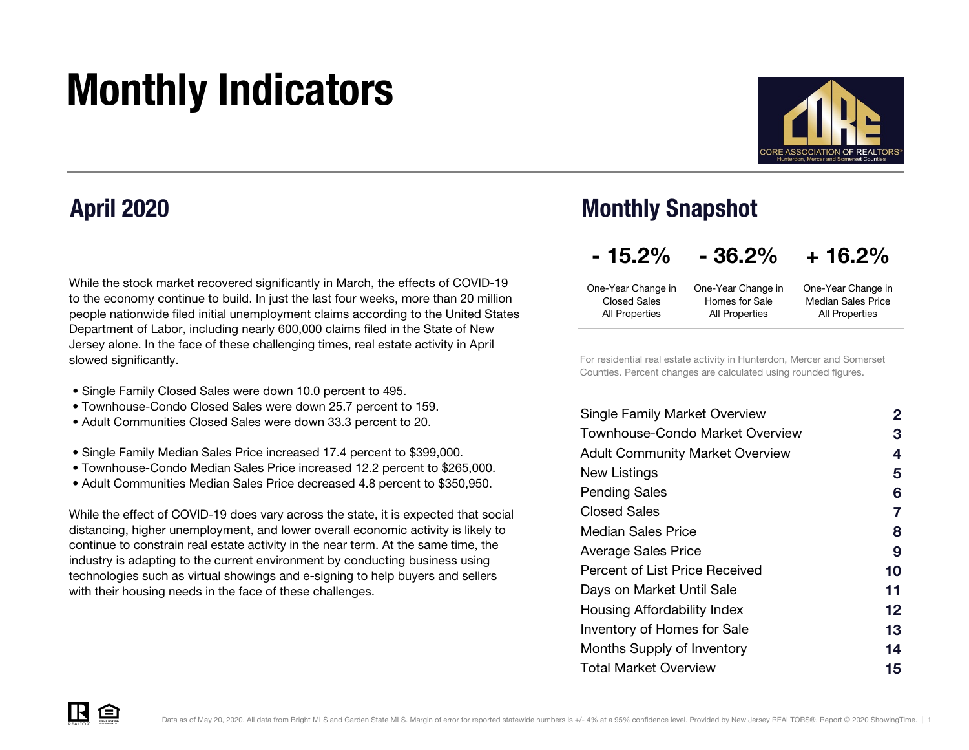# Monthly Indicators



### April 2020

While the stock market recovered significantly in March, the effects of COVID-19 to the economy continue to build. In just the last four weeks, more than 20 million people nationwide filed initial unemployment claims according to the United States Department of Labor, including nearly 600,000 claims filed in the State of New Jersey alone. In the face of these challenging times, real estate activity in April slowed significantly.

- Single Family Closed Sales were down 10.0 percent to 495.
- Townhouse-Condo Closed Sales were down 25.7 percent to 159.
- Adult Communities Closed Sales were down 33.3 percent to 20.
- Single Family Median Sales Price increased 17.4 percent to \$399,000.
- Townhouse-Condo Median Sales Price increased 12.2 percent to \$265,000.
- Adult Communities Median Sales Price decreased 4.8 percent to \$350,950.

While the effect of COVID-19 does vary across the state, it is expected that social distancing, higher unemployment, and lower overall economic activity is likely to continue to constrain real estate activity in the near term. At the same time, the industry is adapting to the current environment by conducting business using technologies such as virtual showings and e-signing to help buyers and sellers with their housing needs in the face of these challenges.

### Monthly Snapshot

#### $+ 16.2%$  $-15.2\% - 36.2\%$

| One-Year Change in  | One-Year Change in | One-Year Change in        |
|---------------------|--------------------|---------------------------|
| <b>Closed Sales</b> | Homes for Sale     | <b>Median Sales Price</b> |
| All Properties      | All Properties     | All Properties            |

For residential real estate activity in Hunterdon, Mercer and Somerset Counties. Percent changes are calculated using rounded figures.

| 2  |
|----|
| 3  |
| 4  |
| 5  |
| 6  |
| 7  |
| 8  |
| 9  |
| 10 |
| 11 |
| 12 |
| 13 |
| 14 |
| 15 |
|    |

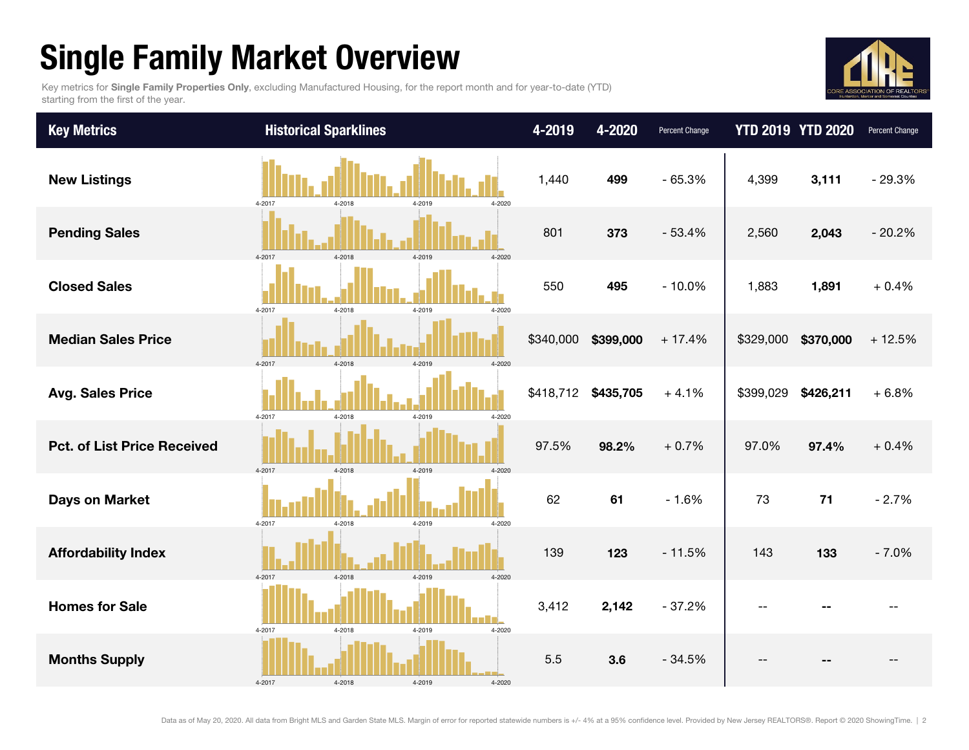## Single Family Market Overview

Key metrics for Single Family Properties Only, excluding Manufactured Housing, for the report month and for year-to-date (YTD) starting from the first of the year.



| <b>Key Metrics</b>                 | <b>Historical Sparklines</b>         | 4-2019    | 4-2020    | Percent Change |           | <b>YTD 2019 YTD 2020</b> | Percent Change |
|------------------------------------|--------------------------------------|-----------|-----------|----------------|-----------|--------------------------|----------------|
| <b>New Listings</b>                | 4-2017<br>4-2018<br>4-2019<br>4-2020 | 1,440     | 499       | $-65.3%$       | 4,399     | 3,111                    | $-29.3%$       |
| <b>Pending Sales</b>               | 4-2017<br>4-2018<br>4-2019<br>4-2020 | 801       | 373       | $-53.4%$       | 2,560     | 2,043                    | $-20.2%$       |
| <b>Closed Sales</b>                | 4-2017<br>4-2018<br>4-2019<br>4-2020 | 550       | 495       | $-10.0%$       | 1,883     | 1,891                    | $+0.4%$        |
| <b>Median Sales Price</b>          | 4-2017<br>4-2018<br>4-2019<br>4-2020 | \$340,000 | \$399,000 | $+17.4%$       |           | \$329,000 \$370,000      | $+12.5%$       |
| <b>Avg. Sales Price</b>            | 4-2019<br>4-2017<br>4-2018<br>4-2020 | \$418,712 | \$435,705 | $+4.1%$        | \$399,029 | \$426,211                | $+6.8%$        |
| <b>Pct. of List Price Received</b> | 4-2017<br>4-2018<br>4-2019<br>4-2020 | 97.5%     | 98.2%     | $+0.7%$        | 97.0%     | 97.4%                    | $+0.4%$        |
| <b>Days on Market</b>              | 4-2017<br>4-2018<br>4-2019<br>4-2020 | 62        | 61        | $-1.6%$        | 73        | 71                       | $-2.7%$        |
| <b>Affordability Index</b>         | 4-2018<br>4-2017<br>4-2019<br>4-2020 | 139       | 123       | $-11.5%$       | 143       | 133                      | $-7.0%$        |
| <b>Homes for Sale</b>              | 4-2017<br>4-2018<br>4-2020<br>4-2019 | 3,412     | 2,142     | $-37.2%$       |           |                          |                |
| <b>Months Supply</b>               | 4-2018<br>4-2019<br>4-2017<br>4-2020 | 5.5       | 3.6       | $-34.5%$       |           |                          |                |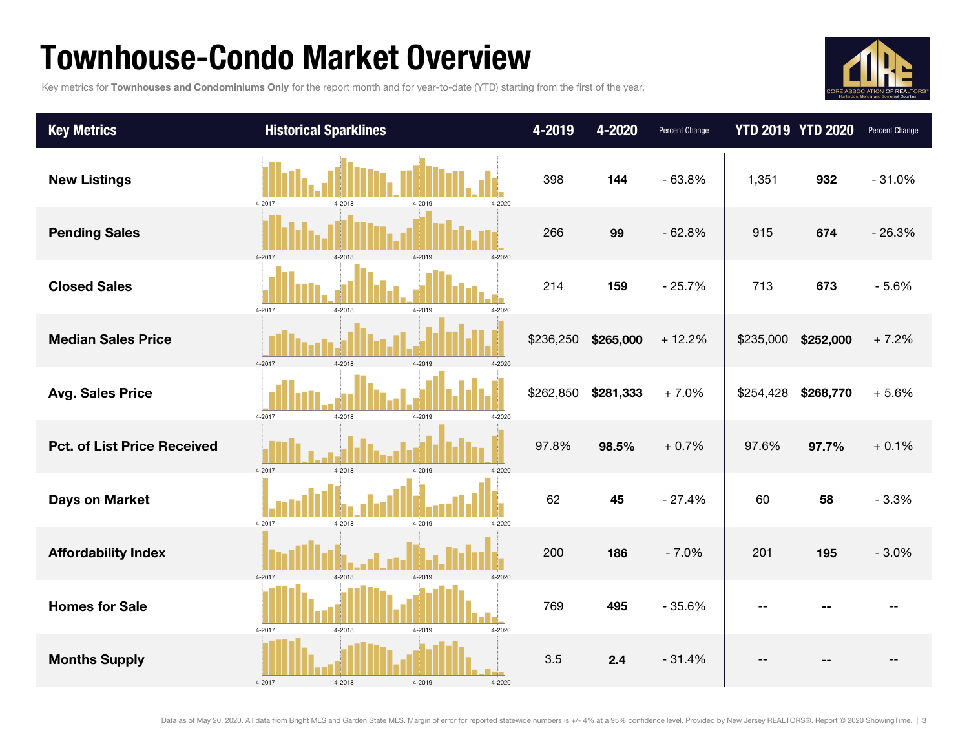### Townhouse-Condo Market Overview

Key metrics for Townhouses and Condominiums Only for the report month and for year-to-date (YTD) starting from the first of the year.



| <b>Key Metrics</b>                 | <b>Historical Sparklines</b>             | 4-2019    | 4-2020    | Percent Change |           | <b>YTD 2019 YTD 2020</b> | Percent Change |
|------------------------------------|------------------------------------------|-----------|-----------|----------------|-----------|--------------------------|----------------|
| <b>New Listings</b>                | 4-2017<br>4-2018<br>4-2020<br>4-2019     | 398       | 144       | $-63.8%$       | 1,351     | 932                      | $-31.0%$       |
| <b>Pending Sales</b>               | 4-2017<br>4-2018<br>4-2020<br>$4 - 2019$ | 266       | 99        | $-62.8%$       | 915       | 674                      | $-26.3%$       |
| <b>Closed Sales</b>                | 4-2017<br>4-2018<br>4-2019<br>4-2020     | 214       | 159       | $-25.7%$       | 713       | 673                      | $-5.6%$        |
| <b>Median Sales Price</b>          | 4-2017<br>4-2018<br>$4 - 2010$<br>4-2020 | \$236,250 | \$265,000 | $+12.2%$       | \$235,000 | \$252,000                | $+7.2%$        |
| <b>Avg. Sales Price</b>            | 4-2017<br>4-2018<br>4-2019<br>4-2020     | \$262,850 | \$281,333 | $+7.0%$        | \$254,428 | \$268,770                | $+5.6%$        |
| <b>Pct. of List Price Received</b> | 4-2017<br>4-2018<br>4-2019<br>4-2020     | 97.8%     | 98.5%     | $+0.7%$        | 97.6%     | 97.7%                    | $+0.1%$        |
| <b>Days on Market</b>              | 4-2017<br>4-2018<br>4-2019<br>$4 - 2020$ | 62        | 45        | $-27.4%$       | 60        | 58                       | $-3.3%$        |
| <b>Affordability Index</b>         | 4-2017<br>4-2018<br>$4 - 2019$<br>4-2020 | 200       | 186       | $-7.0%$        | 201       | 195                      | $-3.0%$        |
| <b>Homes for Sale</b>              | 4-2017<br>4-2018<br>4-2019<br>4-2020     | 769       | 495       | $-35.6%$       |           |                          |                |
| <b>Months Supply</b>               | 4-2017<br>4-2018<br>4-2019<br>$4 - 2020$ | 3.5       | 2.4       | $-31.4%$       |           |                          |                |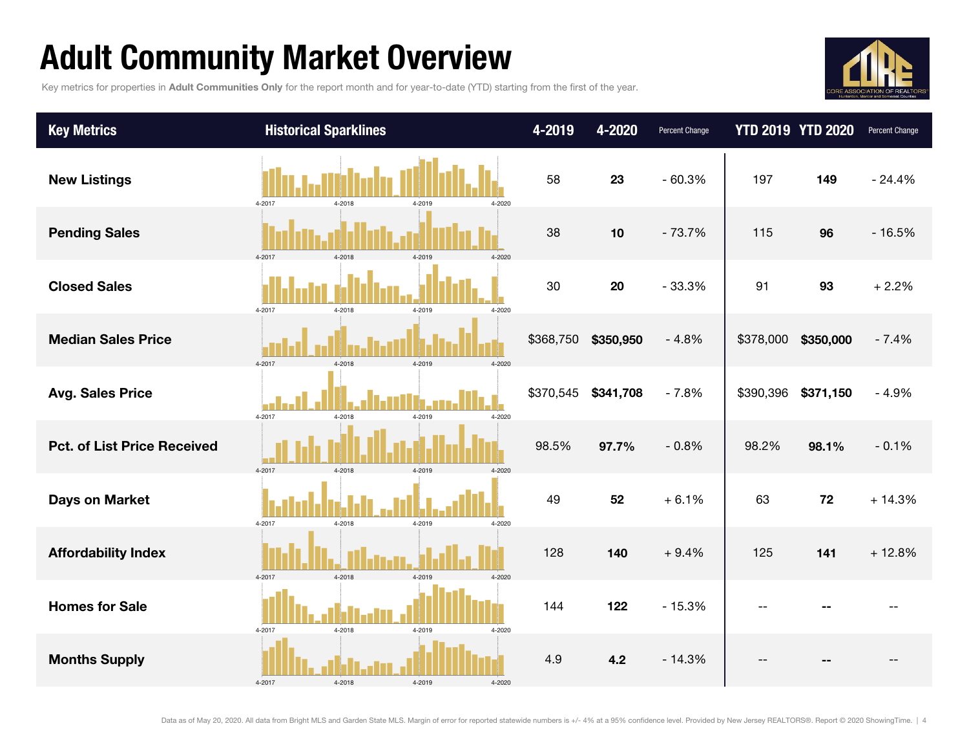## Adult Community Market Overview

Key metrics for properties in Adult Communities Only for the report month and for year-to-date (YTD) starting from the first of the year.



| <b>Key Metrics</b>                 | <b>Historical Sparklines</b>                 | 4-2019    | 4-2020    | Percent Change |                     | <b>YTD 2019 YTD 2020</b> | Percent Change |
|------------------------------------|----------------------------------------------|-----------|-----------|----------------|---------------------|--------------------------|----------------|
| <b>New Listings</b>                | 4-2017<br>4-2018<br>4-2019<br>4-2020         | 58        | 23        | $-60.3%$       | 197                 | 149                      | $-24.4%$       |
| <b>Pending Sales</b>               | 4-2017<br>4-2018<br>4-2019<br>4-2020         | 38        | 10        | $-73.7%$       | 115                 | 96                       | $-16.5%$       |
| <b>Closed Sales</b>                | 4-2017<br>4-2018<br>4-2019<br>4-2020         | 30        | 20        | $-33.3%$       | 91                  | 93                       | $+2.2%$        |
| <b>Median Sales Price</b>          | $4 - 2017$<br>4-2020<br>4-2018<br>4-2019     | \$368,750 | \$350,950 | $-4.8%$        | \$378,000 \$350,000 |                          | $-7.4%$        |
| <b>Avg. Sales Price</b>            | $4 - 2017$<br>4-2018<br>4-2019<br>$4 - 2020$ | \$370,545 | \$341,708 | $-7.8%$        | \$390,396           | \$371,150                | $-4.9%$        |
| <b>Pct. of List Price Received</b> | 4-2017<br>4-2018<br>4-2019<br>4-2020         | 98.5%     | 97.7%     | $-0.8%$        | 98.2%               | 98.1%                    | $-0.1%$        |
| <b>Days on Market</b>              | 4-2017<br>4-2018<br>4-2019<br>4-2020         | 49        | 52        | $+6.1%$        | 63                  | 72                       | $+14.3%$       |
| <b>Affordability Index</b>         | 4-2017<br>4-2018<br>4-2019<br>4-2020         | 128       | 140       | $+9.4%$        | 125                 | 141                      | $+12.8%$       |
| <b>Homes for Sale</b>              | 4-2018<br>4-2017<br>4-2020<br>4-2019         | 144       | 122       | $-15.3%$       | $-1$                |                          |                |
| <b>Months Supply</b>               | 4-2017<br>4-2019<br>4-2018<br>4-2020         | 4.9       | 4.2       | $-14.3%$       |                     |                          |                |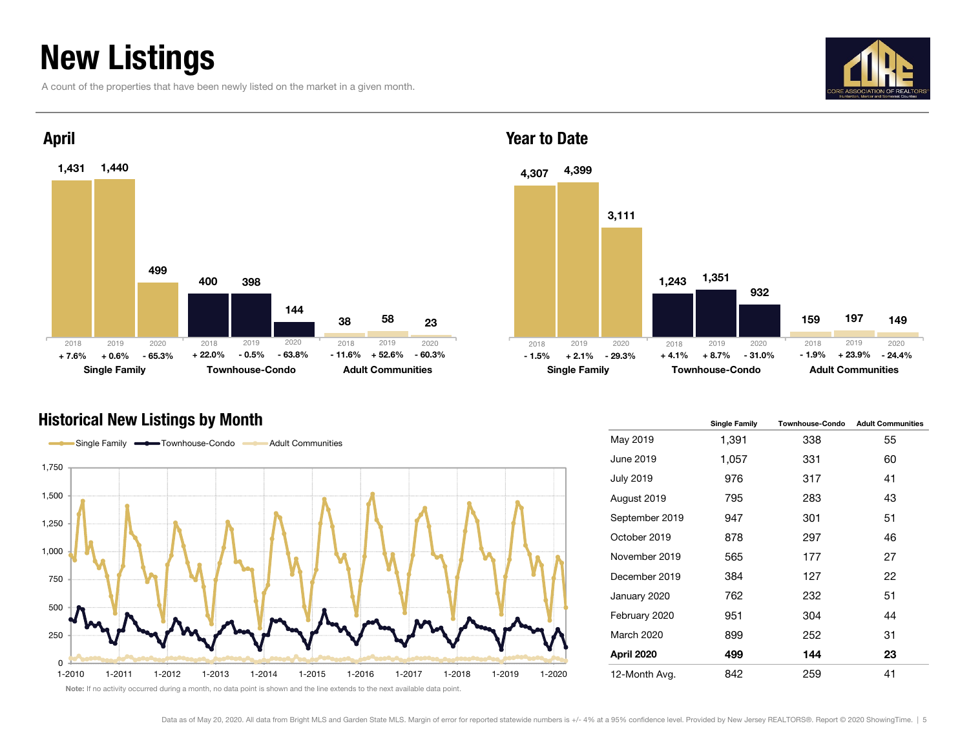## New Listings

A count of the properties that have been newly listed on the market in a given month.





### Year to Date



#### Historical New Listings by Month



|                   | <b>Single Family</b> | <b>Townhouse-Condo</b> | <b>Adult Communities</b> |
|-------------------|----------------------|------------------------|--------------------------|
| May 2019          | 1,391                | 338                    | 55                       |
| June 2019         | 1,057                | 331                    | 60                       |
| <b>July 2019</b>  | 976                  | 317                    | 41                       |
| August 2019       | 795                  | 283                    | 43                       |
| September 2019    | 947                  | 301                    | 51                       |
| October 2019      | 878                  | 297                    | 46                       |
| November 2019     | 565                  | 177                    | 27                       |
| December 2019     | 384                  | 127                    | 22                       |
| January 2020      | 762                  | 232                    | 51                       |
| February 2020     | 951                  | 304                    | 44                       |
| <b>March 2020</b> | 899                  | 252                    | 31                       |
| April 2020        | 499                  | 144                    | 23                       |
| 12-Month Avg.     | 842                  | 259                    | 41                       |

Note: If no activity occurred during a month, no data point is shown and the line extends to the next available data point.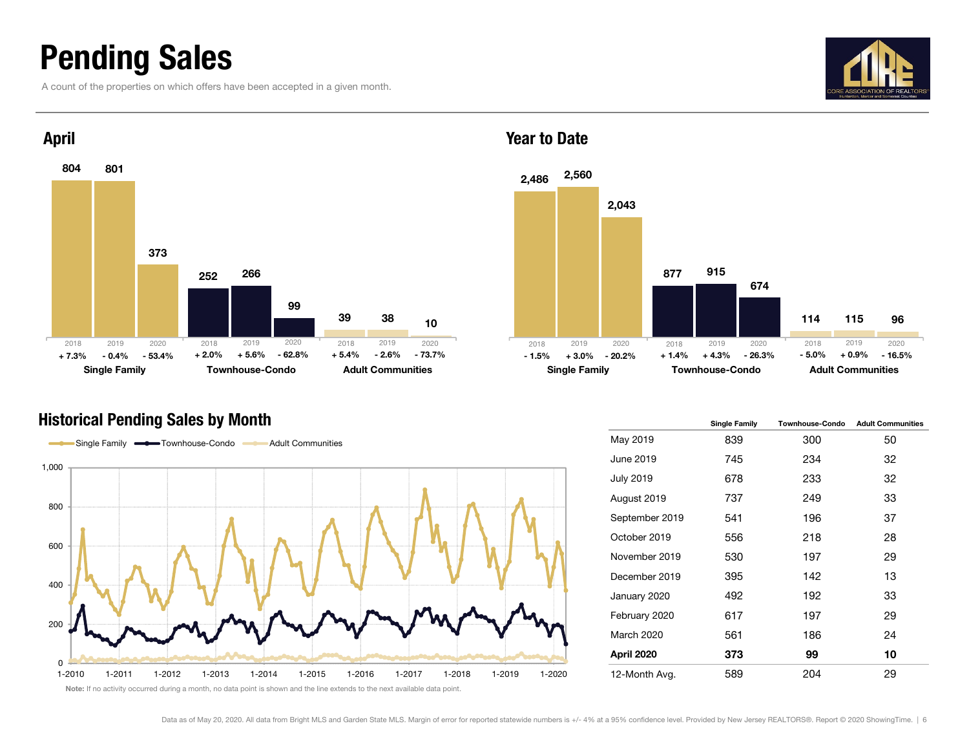### Pending Sales

A count of the properties on which offers have been accepted in a given month.





#### Historical Pending Sales by Month

 $\sim$ 



Year to Date



|                  | <b>Single Family</b> | <b>Townhouse-Condo</b> | <b>Adult Communities</b> |
|------------------|----------------------|------------------------|--------------------------|
| May 2019         | 839                  | 300                    | 50                       |
| June 2019        | 745                  | 234                    | 32                       |
| <b>July 2019</b> | 678                  | 233                    | 32                       |
| August 2019      | 737                  | 249                    | 33                       |
| September 2019   | 541                  | 196                    | 37                       |
| October 2019     | 556                  | 218                    | 28                       |
| November 2019    | 530                  | 197                    | 29                       |
| December 2019    | 395                  | 142                    | 13                       |
| January 2020     | 492                  | 192                    | 33                       |
| February 2020    | 617                  | 197                    | 29                       |
| March 2020       | 561                  | 186                    | 24                       |
| April 2020       | 373                  | 99                     | 10                       |
| 12-Month Avg.    | 589                  | 204                    | 29                       |

Note: If no activity occurred during a month, no data point is shown and the line extends to the next available data point.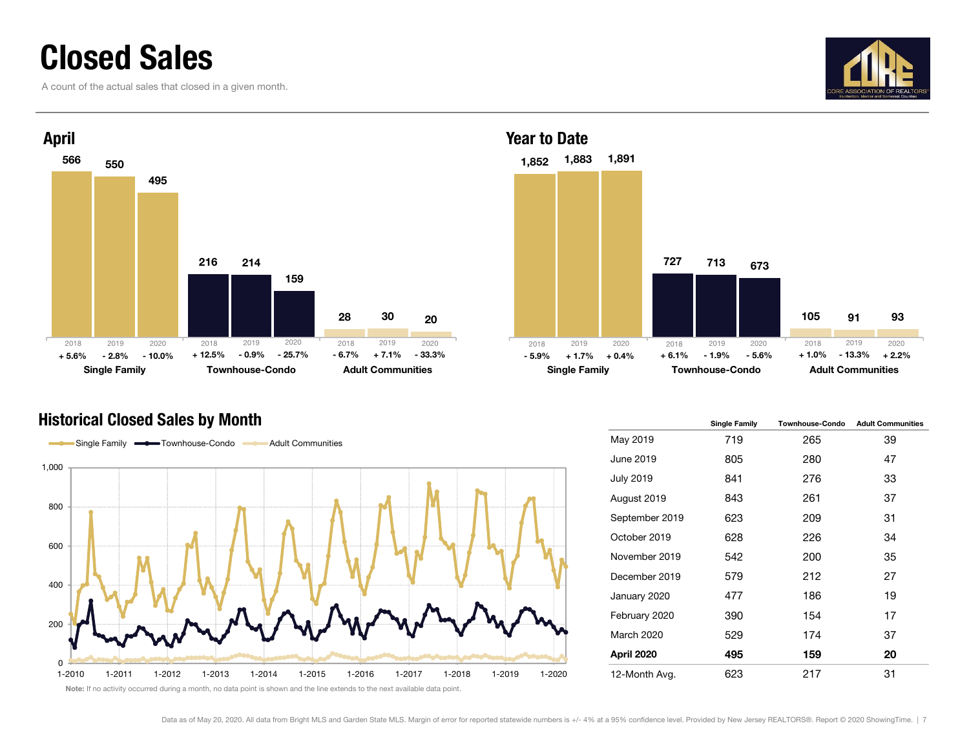### Closed Sales

A count of the actual sales that closed in a given month.





#### Historical Closed Sales by Month





|                   | <b>Single Family</b> | <b>Townhouse-Condo</b> | <b>Adult Communities</b> |
|-------------------|----------------------|------------------------|--------------------------|
| May 2019          | 719                  | 265                    | 39                       |
| June 2019         | 805                  | 280                    | 47                       |
| <b>July 2019</b>  | 841                  | 276                    | 33                       |
| August 2019       | 843                  | 261                    | 37                       |
| September 2019    | 623                  | 209                    | 31                       |
| October 2019      | 628                  | 226                    | 34                       |
| November 2019     | 542                  | 200                    | 35                       |
| December 2019     | 579                  | 212                    | 27                       |
| January 2020      | 477                  | 186                    | 19                       |
| February 2020     | 390                  | 154                    | 17                       |
| <b>March 2020</b> | 529                  | 174                    | 37                       |
| April 2020        | 495                  | 159                    | 20                       |
| 12-Month Avg.     | 623                  | 217                    | 31                       |

Note: If no activity occurred during a month, no data point is shown and the line extends to the next available data point.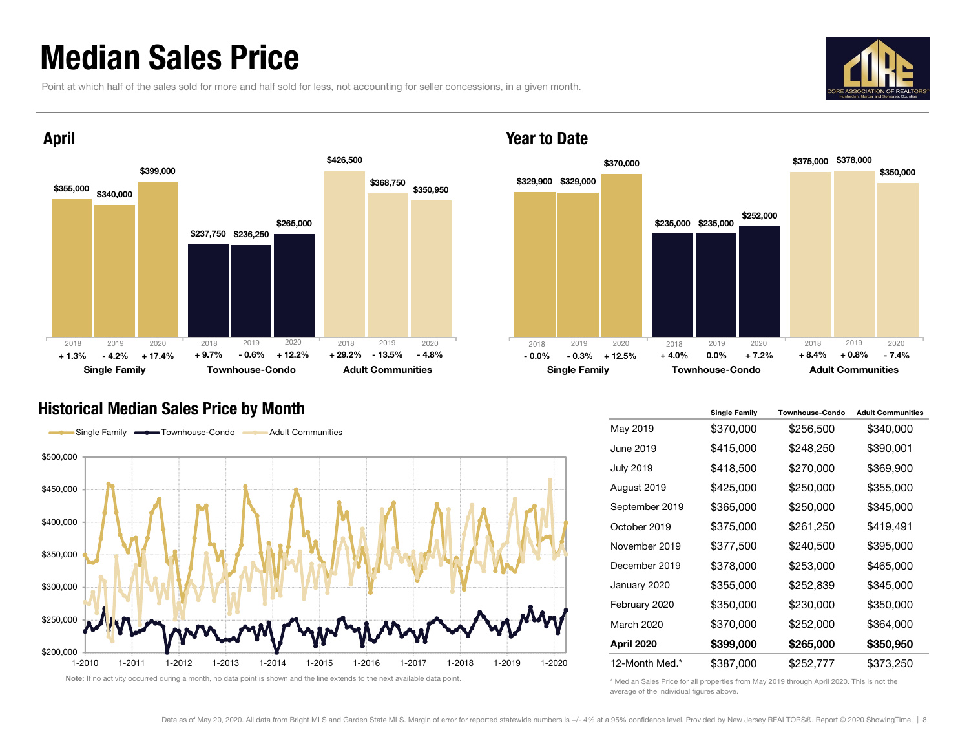### Median Sales Price

Point at which half of the sales sold for more and half sold for less, not accounting for seller concessions, in a given month.





#### Year to Date



#### Historical Median Sales Price by Month



|                   | Single Family | <b>Townhouse-Condo</b> | <b>Adult Communities</b> |
|-------------------|---------------|------------------------|--------------------------|
| May 2019          | \$370,000     | \$256,500              | \$340,000                |
| June 2019         | \$415,000     | \$248,250              | \$390,001                |
| <b>July 2019</b>  | \$418,500     | \$270,000              | \$369,900                |
| August 2019       | \$425,000     | \$250,000              | \$355,000                |
| September 2019    | \$365,000     | \$250,000              | \$345,000                |
| October 2019      | \$375,000     | \$261,250              | \$419,491                |
| November 2019     | \$377,500     | \$240,500              | \$395,000                |
| December 2019     | \$378,000     | \$253,000              | \$465,000                |
| January 2020      | \$355,000     | \$252,839              | \$345,000                |
| February 2020     | \$350,000     | \$230,000              | \$350,000                |
| <b>March 2020</b> | \$370,000     | \$252,000              | \$364,000                |
| April 2020        | \$399,000     | \$265,000              | \$350,950                |
| 12-Month Med.*    | \$387,000     | \$252,777              | \$373,250                |

\* Median Sales Price for all properties from May 2019 through April 2020. This is not the average of the individual figures above.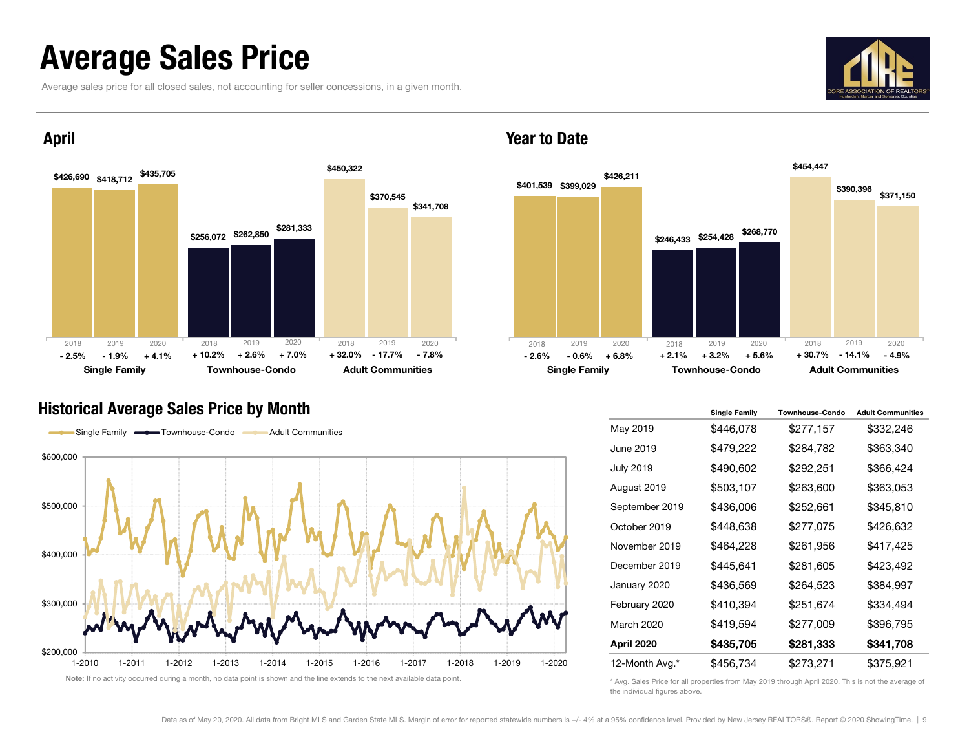### Average Sales Price

Average sales price for all closed sales, not accounting for seller concessions, in a given month.





### April





#### Year to Date



|                  | <b>Single Family</b> | <b>Townhouse-Condo</b> | <b>Adult Communities</b> |
|------------------|----------------------|------------------------|--------------------------|
| May 2019         | \$446,078            | \$277,157              | \$332,246                |
| June 2019        | \$479,222            | \$284,782              | \$363,340                |
| <b>July 2019</b> | \$490,602            | \$292,251              | \$366,424                |
| August 2019      | \$503,107            | \$263,600              | \$363,053                |
| September 2019   | \$436,006            | \$252,661              | \$345,810                |
| October 2019     | \$448,638            | \$277,075              | \$426,632                |
| November 2019    | \$464,228            | \$261,956              | \$417,425                |
| December 2019    | \$445,641            | \$281,605              | \$423,492                |
| January 2020     | \$436,569            | \$264,523              | \$384,997                |
| February 2020    | \$410,394            | \$251,674              | \$334,494                |
| March 2020       | \$419,594            | \$277,009              | \$396,795                |
| April 2020       | \$435,705            | \$281,333              | \$341,708                |
| 12-Month Avg.*   | \$456,734            | \$273,271              | \$375,921                |

\* Avg. Sales Price for all properties from May 2019 through April 2020. This is not the average of the individual figures above.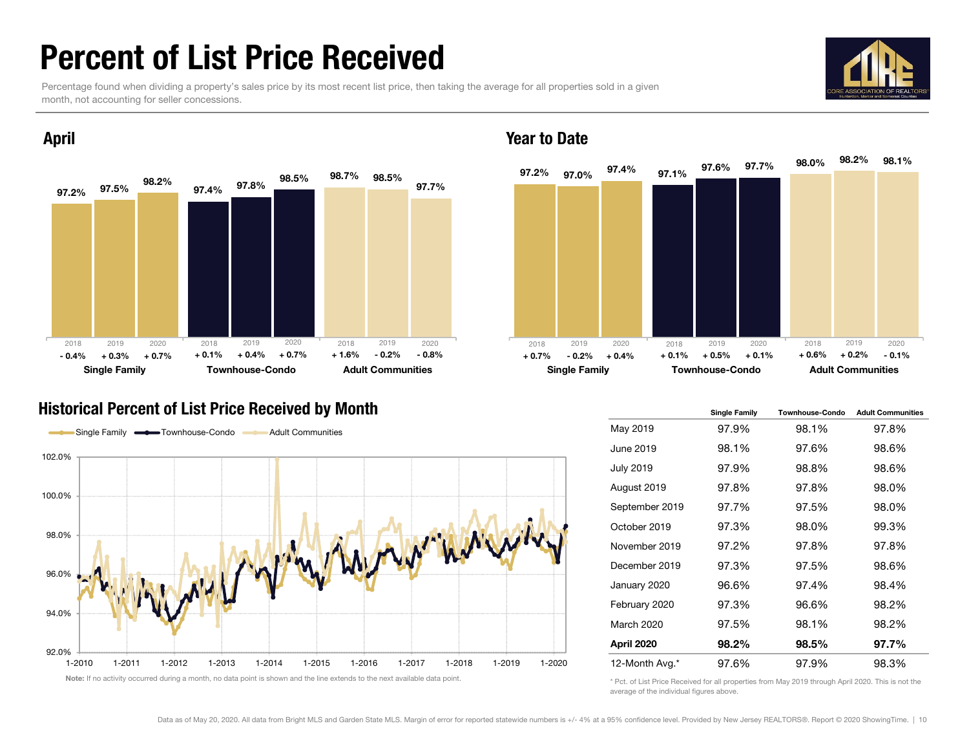### Percent of List Price Received

Percentage found when dividing a property's sales price by its most recent list price, then taking the average for all properties sold in a given month, not accounting for seller concessions.



98.2%



#### April

#### Historical Percent of List Price Received by Month Single Transform Single Family Townhouse-Condo Adult Communities



97.2%% 97.0% <sup>97.47</sup>″ 97.1% 98.0% $\%$  07.1% 97.6% 97.7% 98.0% <sup>98.2%</sup> 98.1% 97.4%Single Family **Townhouse-Condo** Adult Communities 2019 2020 2018 2019 2020  $\%$  - 0.2% - 0.8%  $+$  0.7% - 0.2% + 0.4%  $+$  0.1%  $+$  0.5%  $+$  0.1%  $+$  0.6%  $+$  0.2% - 0.1% 2018 2019 2020+ 0.6%

#### May 2019 97.9% 98.1% 97.8% June 2019 98.1% 97.6% 98.6%July 2019 97.9% 98.8% 98.6% August 2019 97.8% 97.8% 98.0% September 2019 97.7% 97.5% 98.0% October 2019 97.3% 98.0% 99.3%November 2019 97.2% 97.8% 97.8%December 2019 97.3% 97.5% 98.6%January 2020 96.6% 97.4% 98.4% February 2020 97.3% 96.6% 98.2% March 2020 97.5% 98.1% 98.2%April 2020 98.2% 98.5% 97.7% 12-Month Avg.\* 97.6% 97.9% 98.3%

\* Pct. of List Price Received for all properties from May 2019 through April 2020. This is not the average of the individual figures above.

Year to Date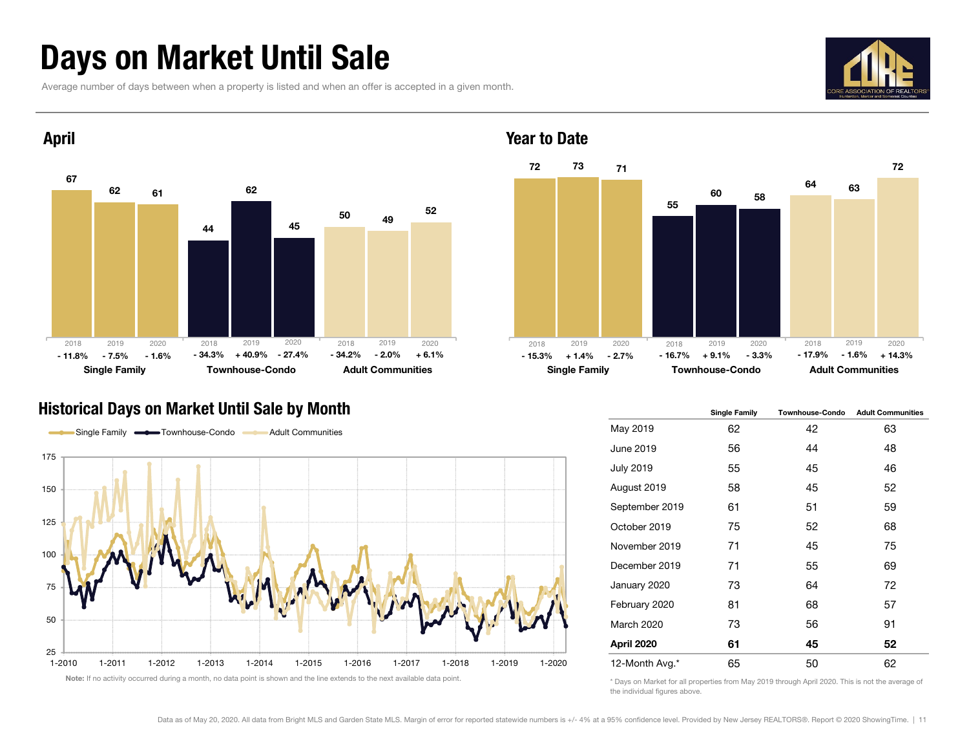### Days on Market Until Sale

Average number of days between when a property is listed and when an offer is accepted in a given month.





#### Historical Days on Market Until Sale by Month Share State State of the Single Family Townhouse-Condo Adult Communities





#### May 2019 62 42 63 June 2019 56 44 48 July 2019 55 45 46 August 2019 58 45 52 September 2019 61 51 59 October 2019 75 52 68 November 2019 71 45 75 December 2019 71 55 69 January 2020 73 64 72 February 2020 81 68 57 March 2020 73 56 91 April 2020 61 45 52 12-Month Avg.\* 65 50 62

\* Days on Market for all properties from May 2019 through April 2020. This is not the average of the individual figures above.

Year to Date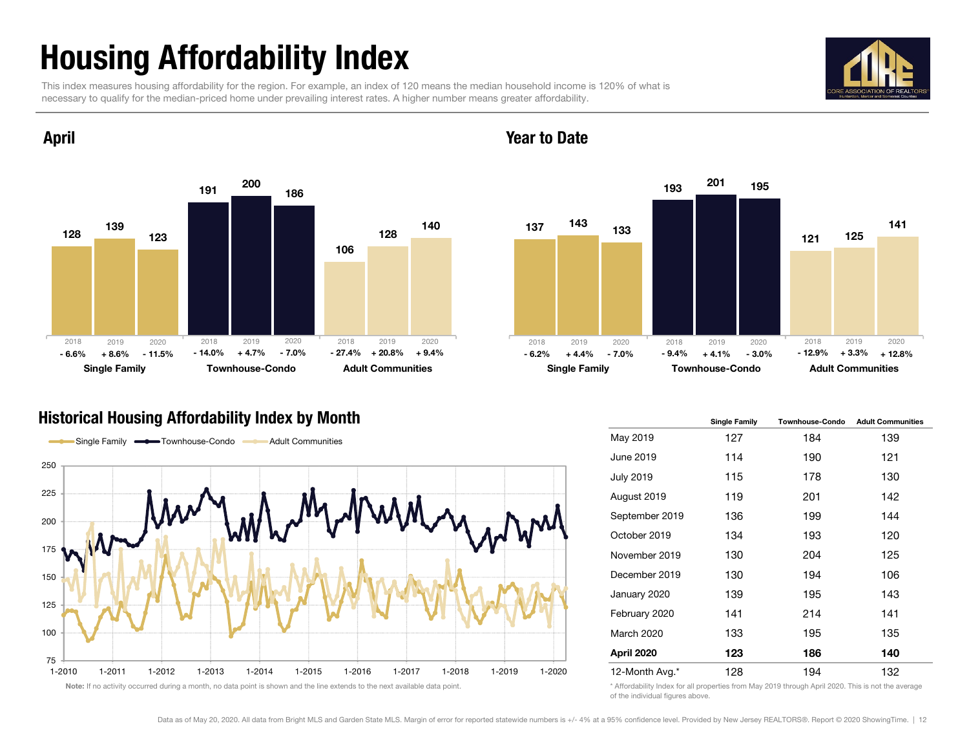## Housing Affordability Index

April

This index measures housing affordability for the region. For example, an index of 120 means the median household income is 120% of what is necessary to qualify for the median-priced home under prevailing interest rates. A higher number means greater affordability.





#### Year to Date



#### Historical Housing Affordability Index by Month Single Tanniversity and the Single Family Townhouse-Condo Adult Community Community Community Townhouse-Condo Adult Community Community Community Community Community Communit



|                   | Single Family | Townnouse-Congo | <b>Adult Communities</b> |
|-------------------|---------------|-----------------|--------------------------|
| May 2019          | 127           | 184             | 139                      |
| June 2019         | 114           | 190             | 121                      |
| <b>July 2019</b>  | 115           | 178             | 130                      |
| August 2019       | 119           | 201             | 142                      |
| September 2019    | 136           | 199             | 144                      |
| October 2019      | 134           | 193             | 120                      |
| November 2019     | 130           | 204             | 125                      |
| December 2019     | 130           | 194             | 106                      |
| January 2020      | 139           | 195             | 143                      |
| February 2020     | 141           | 214             | 141                      |
| <b>March 2020</b> | 133           | 195             | 135                      |
| April 2020        | 123           | 186             | 140                      |
| 12-Month Avg.*    | 128           | 194             | 132                      |

\* Affordability Index for all properties from May 2019 through April 2020. This is not the average of the individual figures above.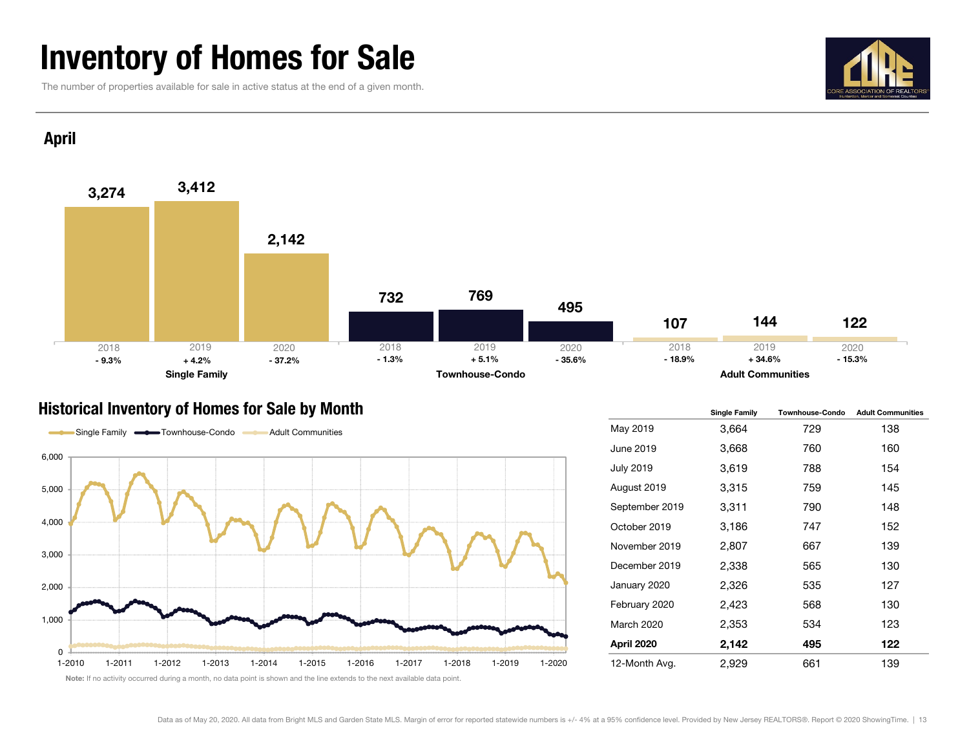### Inventory of Homes for Sale

The number of properties available for sale in active status at the end of a given month.



#### April



#### Historical Inventory of Homes for Sale by Month



|                   | <b>Single Family</b> | <b>Townhouse-Condo</b> | <b>Adult Communities</b> |
|-------------------|----------------------|------------------------|--------------------------|
| May 2019          | 3,664                | 729                    | 138                      |
| June 2019         | 3,668                | 760                    | 160                      |
| <b>July 2019</b>  | 3,619                | 788                    | 154                      |
| August 2019       | 3,315                | 759                    | 145                      |
| September 2019    | 3,311                | 790                    | 148                      |
| October 2019      | 3,186                | 747                    | 152                      |
| November 2019     | 2,807                | 667                    | 139                      |
| December 2019     | 2,338                | 565                    | 130                      |
| January 2020      | 2,326                | 535                    | 127                      |
| February 2020     | 2,423                | 568                    | 130                      |
| <b>March 2020</b> | 2,353                | 534                    | 123                      |
| April 2020        | 2,142                | 495                    | 122                      |
| 12-Month Avg.     | 2,929                | 661                    | 139                      |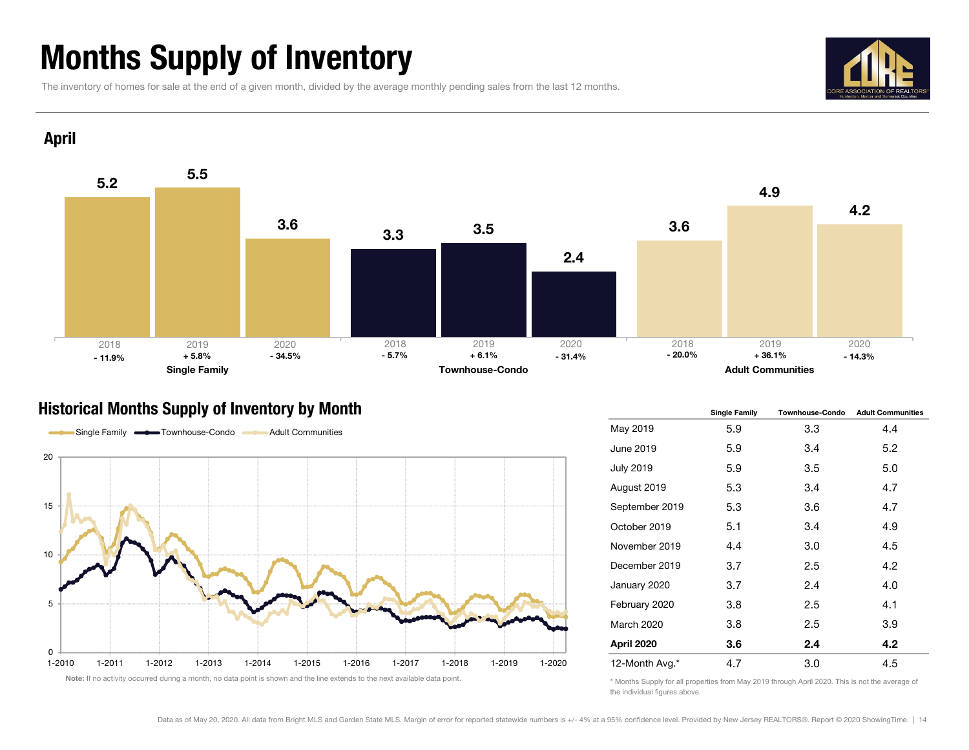### Months Supply of Inventory

The inventory of homes for sale at the end of a given month, divided by the average monthly pending sales from the last 12 months.





#### Historical Months Supply of Inventory by Month



|                   | <b>Single Family</b> | <b>Townhouse-Condo</b> | <b>Adult Communities</b> |  |  |
|-------------------|----------------------|------------------------|--------------------------|--|--|
| May 2019          | 5.9                  | 3.3                    | 4.4                      |  |  |
| June 2019         | 5.9                  | 3.4                    | 5.2                      |  |  |
| <b>July 2019</b>  | 5.9                  | 3.5                    | 5.0                      |  |  |
| August 2019       | 5.3                  | 3.4                    | 4.7                      |  |  |
| September 2019    | 5.3                  | 3.6                    | 4.7                      |  |  |
| October 2019      | 5.1                  | 3.4                    | 4.9                      |  |  |
| November 2019     | 4.4                  | 3.0                    | 4.5                      |  |  |
| December 2019     | 3.7                  | 2.5                    | 4.2                      |  |  |
| January 2020      | 3.7                  | 2.4                    | 4.0                      |  |  |
| February 2020     | 3.8                  | 2.5                    | 4.1                      |  |  |
| <b>March 2020</b> | 3.8                  | 2.5                    | 3.9                      |  |  |
| April 2020        | 3.6                  | 2.4                    | 4.2                      |  |  |
| 12-Month Avg.*    | 4.7                  | 3.0                    | 4.5                      |  |  |

\* Months Supply for all properties from May 2019 through April 2020. This is not the average of the individual figures above.